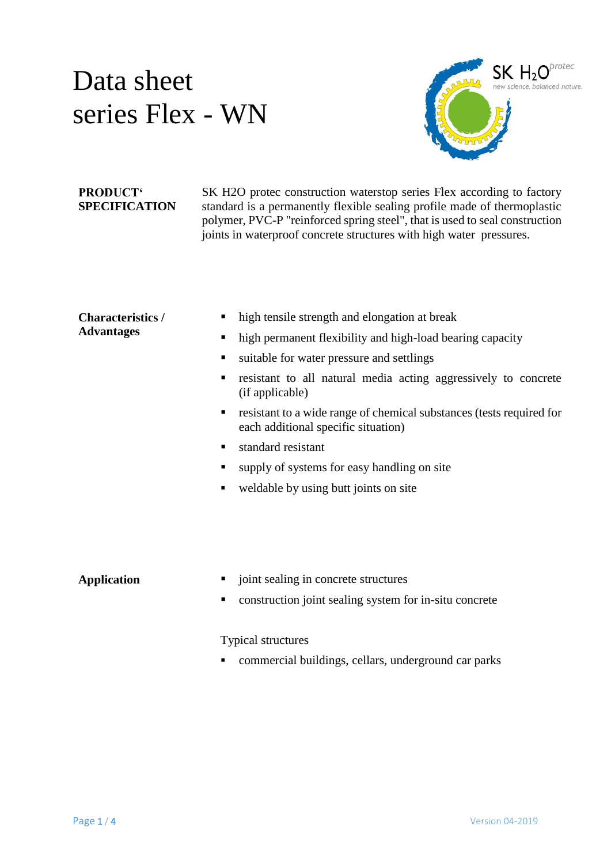

#### **PRODUCT' SPECIFICATION**

SK H2O protec construction waterstop series Flex according to factory standard is a permanently flexible sealing profile made of thermoplastic polymer, PVC-P "reinforced spring steel", that is used to seal construction joints in waterproof concrete structures with high water pressures.

#### **Characteristics / Advantages**

- high tensile strength and elongation at break
- high permanent flexibility and high-load bearing capacity
- ultable for water pressure and settlings
- resistant to all natural media acting aggressively to concrete (if applicable)
- **F** resistant to a wide range of chemical substances (tests required for each additional specific situation)
- standard resistant
- supply of systems for easy handling on site
- weldable by using butt joints on site

- **Application**  $\blacksquare$  joint sealing in concrete structures
	- construction joint sealing system for in-situ concrete

Typical structures

commercial buildings, cellars, underground car parks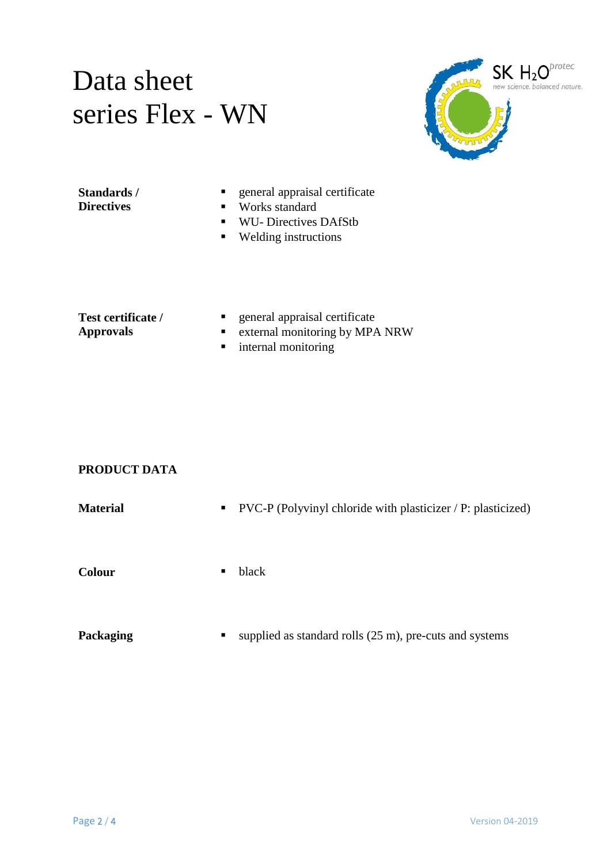

**Standards / Directives**

- general appraisal certificate
- Works standard
- WU- Directives DAfStb
- Welding instructions

**Test certificate / Approvals**

- general appraisal certificate
- **External monitoring by MPA NRW**
- **n** internal monitoring

#### **PRODUCT DATA**

| Material |   | $\blacksquare$ PVC-P (Polyvinyl chloride with plasticizer / P: plasticized) |
|----------|---|-----------------------------------------------------------------------------|
| Colour   | п | black                                                                       |
|          |   |                                                                             |

**Packaging** supplied as standard rolls (25 m), pre-cuts and systems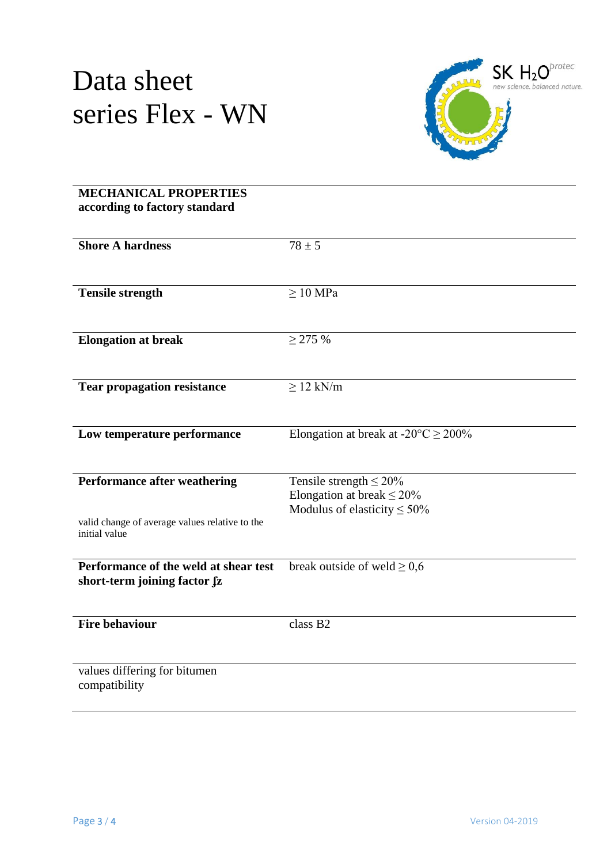

### **MECHANICAL PROPERTIES according to factory standard Shore A hardness**  $78 + 5$ **Tensile strength** ≥ 10 MPa **Elongation at break** ≥ 275 % **Tear propagation resistance** ≥ 12 kN/m **Low temperature performance** Elongation at break at  $-20^{\circ}C \ge 200\%$ **Performance after weathering** valid change of average values relative to the initial value Tensile strength  $\leq 20\%$ Elongation at break  $\leq 20\%$ Modulus of elasticity  $\leq 50\%$ **Performance of the weld at shear test** short-term joining factor fz break outside of weld  $\geq 0.6$ **Fire behaviour** class B2 values differing for bitumen compatibility